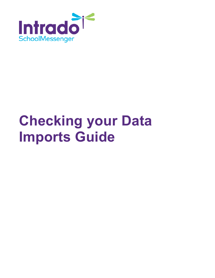

# **Checking your Data Imports Guide**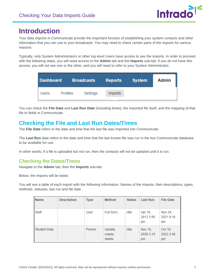

# **Introduction**

Your data imports in Communicate provide the important function of establishing your system contacts and other information that you can use in your broadcasts. You may need to check certain parts of the imports for various reasons.

Typically, only System Administrators or other top-level Users have access to see the imports. In order to proceed with the following steps, you will need access to the **Admin** tab and the **Imports** sub-tab. If you do not have this access, you will not see one or the other, and you will need to refer to your System Administrator.

| <b>Dashboard</b> |                 | <b>Broadcasts</b> | <b>Reports</b> | <b>System</b> | <b>Admin</b> |
|------------------|-----------------|-------------------|----------------|---------------|--------------|
| Users            | <b>Profiles</b> | Settings          | <i>Imports</i> |               |              |

You can check the **File Date** and **Last Run Date** (including times), the imported file itself, and the mapping of that file to fields in Communicate.

## **Checking the File and Last Run Dates/Times**

The **File Date** refers to the date and time that the last file was imported into Communicate.

The **Last Run** date refers to the date and time that the last known file was run in the live Communicate database to be available for use.

In other words, if a file is uploaded but not run, then the contacts will not be updated until it is run.

#### **Checking the Dates/Times**

Navigate to the **Admin** tab, then the **Imports** sub-tab.

Below, the imports will be listed.

You will see a table of each import with the following information: Names of the imports, their descriptions, types, methods, statuses, last run and file date.

| <b>Name</b>         | <b>Description</b> | <b>Type</b> | Method                       | <b>Status</b> | <b>Last Run</b>            | <b>File Date</b>           |
|---------------------|--------------------|-------------|------------------------------|---------------|----------------------------|----------------------------|
| Staff               |                    | User        | <b>Full Sync</b>             | Idle          | Apr 16,<br>2013 3:56<br>pm | Nov 24,<br>2021 9:16<br>am |
| <b>Student Data</b> |                    | Person      | Update,<br>create,<br>delete | Idle          | Nov 16,<br>2020 3:10<br>pm | Oct 10,<br>2022 2:48<br>pm |